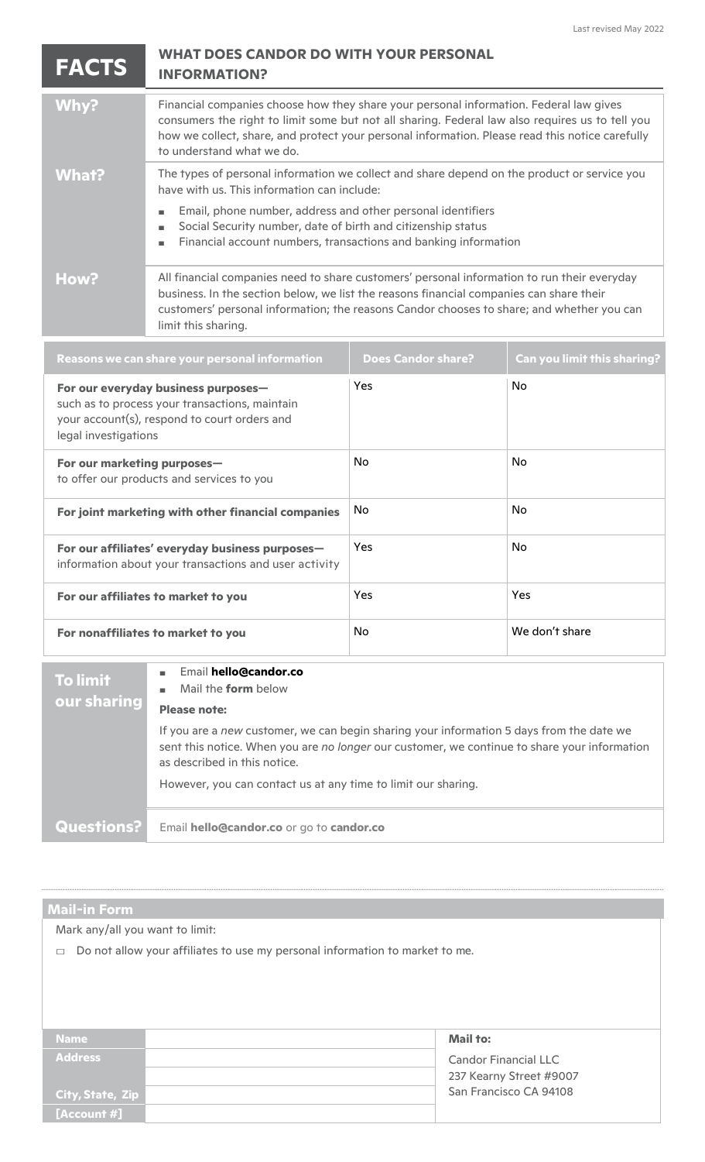| <b>FACTS</b> | <b>WHAT DOES CANDOR DO WITH YOUR PERSONAL</b><br><b>INFORMATION?</b>                                                                                                                                                                                                                                                      |  |
|--------------|---------------------------------------------------------------------------------------------------------------------------------------------------------------------------------------------------------------------------------------------------------------------------------------------------------------------------|--|
| Why?         | Financial companies choose how they share your personal information. Federal law gives<br>consumers the right to limit some but not all sharing. Federal law also requires us to tell you<br>how we collect, share, and protect your personal information. Please read this notice carefully<br>to understand what we do. |  |
| <b>What?</b> | The types of personal information we collect and share depend on the product or service you<br>have with us. This information can include:                                                                                                                                                                                |  |
|              | Email, phone number, address and other personal identifiers<br>Social Security number, date of birth and citizenship status<br>Financial account numbers, transactions and banking information                                                                                                                            |  |
| How?         | All financial companies need to share customers' personal information to run their everyday<br>business. In the section below, we list the reasons financial companies can share their<br>customers' personal information; the reasons Candor chooses to share; and whether you can<br>limit this sharing.                |  |

| Reasons we can share your personal information                                                                                                                | <b>Does Candor share?</b> | <b>Can you limit this sharing?</b> |
|---------------------------------------------------------------------------------------------------------------------------------------------------------------|---------------------------|------------------------------------|
| For our everyday business purposes-<br>such as to process your transactions, maintain<br>your account(s), respond to court orders and<br>legal investigations | Yes                       | <b>No</b>                          |
| For our marketing purposes-<br>to offer our products and services to you                                                                                      | No.                       | <b>No</b>                          |
| For joint marketing with other financial companies                                                                                                            | No                        | <b>No</b>                          |
| For our affiliates' everyday business purposes-<br>information about your transactions and user activity                                                      | Yes                       | No.                                |
| For our affiliates to market to you                                                                                                                           | Yes                       | <b>Yes</b>                         |
| For nonaffiliates to market to you                                                                                                                            | No                        | We don't share                     |

**To limit our sharing** ■ Email **hello@candor.co** ■ Mail the **form** below **Please note:** If you are a *new* customer, we can begin sharing your information 5 days from the date we sent this notice. When you are *no longer* our customer, we continue to share your information as described in this notice. However, you can contact us at any time to limit our sharing. **Questions?** Email **hello@candor.co** or go to **candor.co**

## **Mail-in Form**

Mark any/all you want to limit:

 $\Box$  Do not allow your affiliates to use my personal information to market to me.

| <b>Name</b>      | Mail to:                    |
|------------------|-----------------------------|
| <b>Address</b>   | <b>Candor Financial LLC</b> |
|                  | 237 Kearny Street #9007     |
| City, State, Zip | San Francisco CA 94108      |
| [Account #]      |                             |